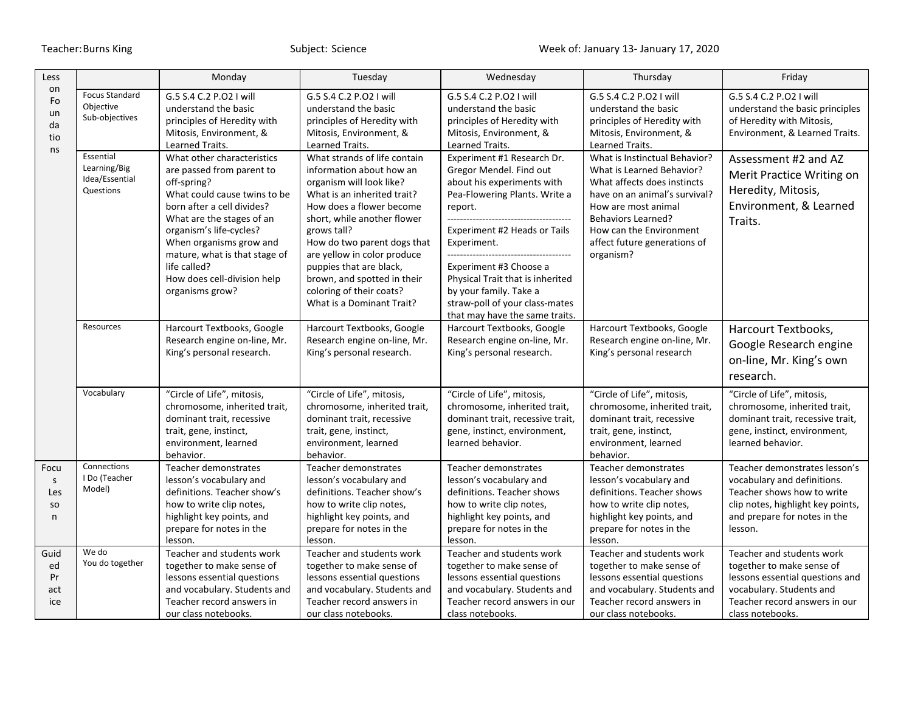| Less                                    |                                                          | Monday                                                                                                                                                                                                                                                                                                                     | Tuesday                                                                                                                                                                                                                                                                                                                                                                        | Wednesday                                                                                                                                                                                                                                                                                                                                                                                                               | Thursday                                                                                                                                                                                                                                               | Friday                                                                                                                                                                     |
|-----------------------------------------|----------------------------------------------------------|----------------------------------------------------------------------------------------------------------------------------------------------------------------------------------------------------------------------------------------------------------------------------------------------------------------------------|--------------------------------------------------------------------------------------------------------------------------------------------------------------------------------------------------------------------------------------------------------------------------------------------------------------------------------------------------------------------------------|-------------------------------------------------------------------------------------------------------------------------------------------------------------------------------------------------------------------------------------------------------------------------------------------------------------------------------------------------------------------------------------------------------------------------|--------------------------------------------------------------------------------------------------------------------------------------------------------------------------------------------------------------------------------------------------------|----------------------------------------------------------------------------------------------------------------------------------------------------------------------------|
| on<br>Fo<br>un<br>da<br>tio<br>ns       | <b>Focus Standard</b><br>Objective<br>Sub-objectives     | G.5 S.4 C.2 P.O2 I will<br>understand the basic<br>principles of Heredity with<br>Mitosis, Environment, &<br>Learned Traits.                                                                                                                                                                                               | G.5 S.4 C.2 P.O2 I will<br>understand the basic<br>principles of Heredity with<br>Mitosis, Environment, &<br>Learned Traits.                                                                                                                                                                                                                                                   | G.5 S.4 C.2 P.O2 I will<br>understand the basic<br>principles of Heredity with<br>Mitosis, Environment, &<br>Learned Traits.                                                                                                                                                                                                                                                                                            | G.5 S.4 C.2 P.O2 I will<br>understand the basic<br>principles of Heredity with<br>Mitosis, Environment, &<br>Learned Traits.                                                                                                                           | G.5 S.4 C.2 P.O2 I will<br>understand the basic principles<br>of Heredity with Mitosis,<br>Environment, & Learned Traits.                                                  |
|                                         | Essential<br>Learning/Big<br>Idea/Essential<br>Questions | What other characteristics<br>are passed from parent to<br>off-spring?<br>What could cause twins to be<br>born after a cell divides?<br>What are the stages of an<br>organism's life-cycles?<br>When organisms grow and<br>mature, what is that stage of<br>life called?<br>How does cell-division help<br>organisms grow? | What strands of life contain<br>information about how an<br>organism will look like?<br>What is an inherited trait?<br>How does a flower become<br>short, while another flower<br>grows tall?<br>How do two parent dogs that<br>are yellow in color produce<br>puppies that are black,<br>brown, and spotted in their<br>coloring of their coats?<br>What is a Dominant Trait? | Experiment #1 Research Dr.<br>Gregor Mendel. Find out<br>about his experiments with<br>Pea-Flowering Plants. Write a<br>report.<br>-------------------------------<br>Experiment #2 Heads or Tails<br>Experiment.<br>--------------------------------------<br>Experiment #3 Choose a<br>Physical Trait that is inherited<br>by your family. Take a<br>straw-poll of your class-mates<br>that may have the same traits. | What is Instinctual Behavior?<br>What is Learned Behavior?<br>What affects does instincts<br>have on an animal's survival?<br>How are most animal<br><b>Behaviors Learned?</b><br>How can the Environment<br>affect future generations of<br>organism? | Assessment #2 and AZ<br>Merit Practice Writing on<br>Heredity, Mitosis,<br>Environment, & Learned<br>Traits.                                                               |
|                                         | Resources                                                | Harcourt Textbooks, Google<br>Research engine on-line, Mr.<br>King's personal research.                                                                                                                                                                                                                                    | Harcourt Textbooks, Google<br>Research engine on-line, Mr.<br>King's personal research.                                                                                                                                                                                                                                                                                        | Harcourt Textbooks, Google<br>Research engine on-line, Mr.<br>King's personal research.                                                                                                                                                                                                                                                                                                                                 | Harcourt Textbooks, Google<br>Research engine on-line, Mr.<br>King's personal research                                                                                                                                                                 | Harcourt Textbooks,<br>Google Research engine<br>on-line, Mr. King's own<br>research.                                                                                      |
|                                         | Vocabulary                                               | "Circle of Life", mitosis,<br>chromosome, inherited trait,<br>dominant trait, recessive<br>trait, gene, instinct,<br>environment, learned<br>behavior.                                                                                                                                                                     | "Circle of Life", mitosis,<br>chromosome, inherited trait,<br>dominant trait, recessive<br>trait, gene, instinct,<br>environment, learned<br>behavior.                                                                                                                                                                                                                         | "Circle of Life", mitosis,<br>chromosome, inherited trait,<br>dominant trait, recessive trait,<br>gene, instinct, environment,<br>learned behavior.                                                                                                                                                                                                                                                                     | "Circle of Life", mitosis,<br>chromosome, inherited trait,<br>dominant trait, recessive<br>trait, gene, instinct,<br>environment, learned<br>behavior.                                                                                                 | "Circle of Life", mitosis,<br>chromosome, inherited trait,<br>dominant trait, recessive trait,<br>gene, instinct, environment,<br>learned behavior.                        |
| Focu<br>$\mathsf{s}$<br>Les<br>SO.<br>n | Connections<br>I Do (Teacher<br>Model)                   | Teacher demonstrates<br>lesson's vocabulary and<br>definitions. Teacher show's<br>how to write clip notes,<br>highlight key points, and<br>prepare for notes in the<br>lesson.                                                                                                                                             | Teacher demonstrates<br>lesson's vocabulary and<br>definitions. Teacher show's<br>how to write clip notes,<br>highlight key points, and<br>prepare for notes in the<br>lesson.                                                                                                                                                                                                 | Teacher demonstrates<br>lesson's vocabulary and<br>definitions. Teacher shows<br>how to write clip notes,<br>highlight key points, and<br>prepare for notes in the<br>lesson.                                                                                                                                                                                                                                           | Teacher demonstrates<br>lesson's vocabulary and<br>definitions. Teacher shows<br>how to write clip notes,<br>highlight key points, and<br>prepare for notes in the<br>lesson.                                                                          | Teacher demonstrates lesson's<br>vocabulary and definitions.<br>Teacher shows how to write<br>clip notes, highlight key points,<br>and prepare for notes in the<br>lesson. |
| Guid<br>ed<br>Pr<br>act<br>ice          | We do<br>You do together                                 | Teacher and students work<br>together to make sense of<br>lessons essential questions<br>and vocabulary. Students and<br>Teacher record answers in<br>our class notebooks.                                                                                                                                                 | Teacher and students work<br>together to make sense of<br>lessons essential questions<br>and vocabulary. Students and<br>Teacher record answers in<br>our class notebooks.                                                                                                                                                                                                     | Teacher and students work<br>together to make sense of<br>lessons essential questions<br>and vocabulary. Students and<br>Teacher record answers in our<br>class notebooks.                                                                                                                                                                                                                                              | Teacher and students work<br>together to make sense of<br>lessons essential questions<br>and vocabulary. Students and<br>Teacher record answers in<br>our class notebooks.                                                                             | Teacher and students work<br>together to make sense of<br>lessons essential questions and<br>vocabulary. Students and<br>Teacher record answers in our<br>class notebooks. |